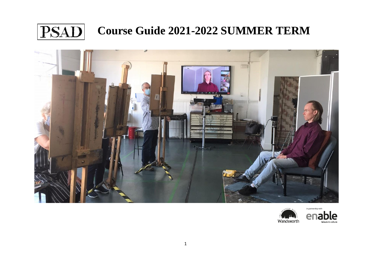



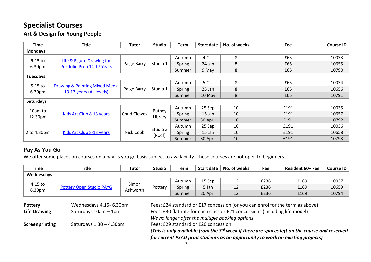#### **Specialist Courses Art & Design for Young People**

| <b>Time</b>         | <b>Title</b>                                               | Tutor       | <b>Studio</b>      | Term   | <b>Start date</b> | No. of weeks | Fee  | <b>Course ID</b> |
|---------------------|------------------------------------------------------------|-------------|--------------------|--------|-------------------|--------------|------|------------------|
| <b>Mondays</b>      |                                                            |             |                    |        |                   |              |      |                  |
|                     |                                                            |             | Studio 1           | Autumn | 4 Oct             | 8            | £65  | 10033            |
| $5.15$ to<br>6.30pm | Life & Figure Drawing for<br>Portfolio Prep 14-17 Years    | Paige Barry |                    | Spring | 24 Jan            | 8            | £65  | 10655            |
|                     |                                                            |             |                    | Summer | 9 May             | 8            | £65  | 10790            |
| <b>Tuesdays</b>     |                                                            |             |                    |        |                   |              |      |                  |
|                     |                                                            |             |                    | Autumn | 5 Oct             | 8            | £65  | 10034            |
| $5.15$ to<br>6.30pm | Drawing & Painting Mixed Media<br>13-17 years (All levels) | Paige Barry | Studio 1           | Spring | 25 Jan            | 8            | £65  | 10656            |
|                     |                                                            |             |                    | Summer | 10 May            | 8            | £65  | 10791            |
| Saturdays           |                                                            |             |                    |        |                   |              |      |                  |
|                     |                                                            |             |                    | Autumn | 25 Sep            | 10           | £191 | 10035            |
| 10am to<br>12.30pm  | Kids Art Club 8-13 years                                   | Chud Clowes | Putney<br>Library  | Spring | 15 Jan            | 10           | £191 | 10657            |
|                     |                                                            |             |                    | Summer | 30 April          | 10           | £191 | 10792            |
|                     |                                                            |             |                    | Autumn | 25 Sep            | 10           | £191 | 10036            |
| 2 to 4.30pm         | Kids Art Club 8-13 years                                   | Nick Cobb   | Studio 3<br>(Roof) | Spring | 15 Jan            | 10           | £191 | 10658            |
|                     |                                                            |             |                    | Summer | 30 April          | 10           | £191 | 10793            |

#### **Pay As You Go**

We offer some places on courses on a pay as you go basis subject to availability. These courses are not open to beginners.

| <b>Time</b>                           | <b>Title</b>                    | <b>Tutor</b>                                   | <b>Studio</b>                                                                                                                                                                                                                        | Term                                                                                                                                                                                                             | <b>Start date</b> | No. of weeks | <b>Fee</b> | <b>Resident 60+ Fee</b> | <b>Course ID</b> |  |
|---------------------------------------|---------------------------------|------------------------------------------------|--------------------------------------------------------------------------------------------------------------------------------------------------------------------------------------------------------------------------------------|------------------------------------------------------------------------------------------------------------------------------------------------------------------------------------------------------------------|-------------------|--------------|------------|-------------------------|------------------|--|
| Wednesdays                            |                                 |                                                |                                                                                                                                                                                                                                      |                                                                                                                                                                                                                  |                   |              |            |                         |                  |  |
|                                       |                                 |                                                | Pottery                                                                                                                                                                                                                              | Autumn                                                                                                                                                                                                           | 15 Sep            | 12           | £236       | £169                    | 10037            |  |
| 4.15 to                               | <b>Pottery Open Studio PAYG</b> | Simon<br>Ashworth                              |                                                                                                                                                                                                                                      | Spring                                                                                                                                                                                                           | 5 Jan             | 12           | £236       | £169                    | 10659            |  |
| 6.30pm                                |                                 |                                                |                                                                                                                                                                                                                                      | Summer                                                                                                                                                                                                           | 20 April          | 12           | £236       | £169                    | 10794            |  |
| <b>Pottery</b><br><b>Life Drawing</b> |                                 | Wednesdays 4.15-6.30pm<br>Saturdays 10am - 1pm |                                                                                                                                                                                                                                      | Fees: £24 standard or £17 concession (or you can enrol for the term as above)<br>Fees: £30 flat rate for each class or £21 concessions (including life model)<br>We no longer offer the multiple booking options |                   |              |            |                         |                  |  |
| Screenprinting                        | Saturdays $1.30 - 4.30$ pm      |                                                | Fees: £29 standard or £20 concession<br>(This is only available from the 3 <sup>rd</sup> week if there are spaces left on the course and reserved<br>for current PSAD print students as an opportunity to work on existing projects) |                                                                                                                                                                                                                  |                   |              |            |                         |                  |  |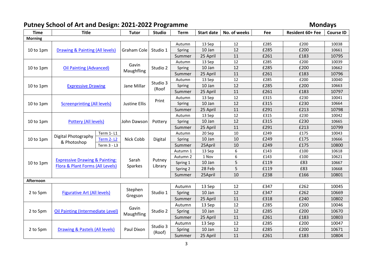# **Putney School of Art and Design: 2021-2022 Programme Mondays**

| <b>Time</b>    | <b>Title</b>                                                          |                                | <b>Tutor</b>         | <b>Studio</b> | <b>Term</b> | <b>Start date</b> | No. of weeks     | Fee  | Resident 60+ Fee | <b>Course ID</b> |
|----------------|-----------------------------------------------------------------------|--------------------------------|----------------------|---------------|-------------|-------------------|------------------|------|------------------|------------------|
| <b>Morning</b> |                                                                       |                                |                      |               |             |                   |                  |      |                  |                  |
|                |                                                                       |                                |                      |               | Autumn      | 13 Sep            | 12               | £285 | £200             | 10038            |
| 10 to 1pm      | <b>Drawing &amp; Painting (All levels)</b>                            |                                | Graham Cole          | Studio 1      | Spring      | 10 Jan            | 12               | £285 | £200             | 10661            |
|                |                                                                       |                                |                      |               | Summer      | 25 April          | 11               | £261 | £183             | 10795            |
|                |                                                                       |                                |                      |               | Autumn      | 13 Sep            | 12               | £285 | £200             | 10039            |
| $10$ to $1$ pm | <b>Oil Painting (Advanced)</b>                                        |                                | Gavin<br>Maughfling  | Studio 2      | Spring      | 10 Jan            | 12               | £285 | £200             | 10662            |
|                |                                                                       |                                |                      |               | Summer      | 25 April          | 11               | £261 | £183             | 10796            |
|                |                                                                       |                                |                      | Studio 3      | Autumn      | 13 Sep            | 12               | £285 | £200             | 10040            |
| 10 to 1pm      | <b>Expressive Drawing</b>                                             |                                | Jane Millar          |               | Spring      | 10 Jan            | 12               | £285 | £200             | 10663            |
|                |                                                                       |                                |                      | (Roof         | Summer      | 25 April          | 11               | £261 | £183             | 10797            |
|                |                                                                       |                                |                      | Print         | Autumn      | 13 Sep            | 12               | £315 | £230             | 10041            |
| 10 to 1pm      | <b>Screenprinting (All levels)</b>                                    |                                | <b>Justine Ellis</b> |               | Spring      | 10 Jan            | 12               | £315 | £230             | 10664            |
|                |                                                                       |                                |                      |               | Summer      | 25 April          | 11               | £291 | £213             | 10798            |
|                |                                                                       |                                |                      |               | Autumn      | 13 Sep            | 12               | £315 | £230             | 10042            |
| 10 to 1pm      | <b>Pottery (All levels)</b>                                           |                                | John Dawson          | Pottery       | Spring      | 10 Jan            | 12               | £315 | £230             | 10665            |
|                |                                                                       |                                |                      |               | Summer      | 25 April          | 11               | £291 | £213             | 10799            |
|                |                                                                       | Term 1-L1                      |                      |               | Autumn      | 20 Sep            | 10               | £249 | £175             | 10043            |
| 10 to 1pm      | Digital Photography<br><b>Term 2-12</b><br>& Photoshop<br>Term 3 - L3 |                                | Nick Cobb            | Digital       | Spring      | 10 Jan            | 10               | £249 | £175             | 10666            |
|                |                                                                       |                                |                      | Summer        | 25April     | 10                | £249             | £175 | 10800            |                  |
|                |                                                                       |                                |                      |               | Autumn 1    | 13 Sep            | $\boldsymbol{6}$ | £143 | £100             | 10618            |
|                |                                                                       |                                |                      |               | Autumn 2    | 1 Nov             | 6                | £143 | £100             | 10621            |
| 10 to 1pm      | <b>Expressive Drawing &amp; Painting:</b>                             |                                | Sarah                | Putney        | Spring 1    | 10 Jan            | 5                | £119 | £83              | 10667            |
|                | Flora & Plant Forms (All Levels)                                      |                                | Sparkes              | Library       | Spring 2    | 28 Feb            | 5                | £119 | £83              | 10668            |
|                |                                                                       |                                |                      |               | Summer      | 25April           | 10               | £238 | £166             | 10801            |
| Afternoon      |                                                                       |                                |                      |               |             |                   |                  |      |                  |                  |
|                |                                                                       |                                | Stephen              |               | Autumn      | 13 Sep            | 12               | £347 | £262             | 10045            |
| 2 to 5pm       | <b>Figurative Art (All levels)</b>                                    |                                |                      | Studio 1      | Spring      | 10 Jan            | 12               | £347 | £262             | 10669            |
|                |                                                                       |                                | Gregson              |               | Summer      | 25 April          | 11               | £318 | £240             | 10802            |
|                |                                                                       |                                |                      |               | Autumn      | 13 Sep            | 12               | £285 | £200             | 10046            |
| 2 to 5pm       | <b>Oil Painting (Intermediate Level)</b>                              |                                | Gavin<br>Maughfling  | Studio 2      | Spring      | 10 Jan            | 12               | £285 | £200             | 10670            |
|                |                                                                       |                                |                      |               | Summer      | 25 April          | 11               | £261 | £183             | 10803            |
|                |                                                                       |                                |                      | Studio 3      | Autumn      | 13 Sep            | 12               | £285 | £200             | 10047            |
| 2 to 5pm       |                                                                       | Drawing & Pastels (All levels) | Paul Dixon           |               | Spring      | 10 Jan            | 12               | £285 | £200             | 10671            |
|                |                                                                       |                                |                      | (Roof)        | Summer      | 25 April          | 11               | £261 | £183             | 10804            |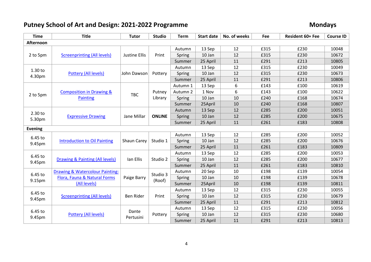# **Putney School of Art and Design: 2021-2022 Programme Mondays**

| <b>Time</b>    | <b>Title</b>                               | <b>Tutor</b>         | <b>Studio</b> | <b>Term</b> | <b>Start date</b> | No. of weeks | Fee  | Resident 60+ Fee | <b>Course ID</b> |
|----------------|--------------------------------------------|----------------------|---------------|-------------|-------------------|--------------|------|------------------|------------------|
| Afternoon      |                                            |                      |               |             |                   |              |      |                  |                  |
|                |                                            |                      |               | Autumn      | 13 Sep            | 12           | £315 | £230             | 10048            |
| 2 to 5pm       | <b>Screenprinting (All levels)</b>         | <b>Justine Ellis</b> | Print         | Spring      | 10 Jan            | 12           | £315 | £230             | 10672            |
|                |                                            |                      |               | Summer      | 25 April          | 11           | £291 | £213             | 10805            |
|                |                                            |                      |               | Autumn      | 13 Sep            | 12           | £315 | £230             | 10049            |
| 1.30 to        | <b>Pottery (All levels)</b>                | John Dawson          | Pottery       | Spring      | 10 Jan            | 12           | £315 | £230             | 10673            |
| 4.30pm         |                                            |                      |               | Summer      | 25 April          | 11           | £291 | £213             | 10806            |
|                |                                            |                      |               | Autumn 1    | 13 Sep            | 6            | £143 | £100             | 10619            |
| 2 to 5pm       | <b>Composition in Drawing &amp;</b>        | <b>TBC</b>           | Putney        | Autumn 2    | 1 Nov             | 6            | £143 | £100             | 10622            |
|                | <b>Painting</b>                            |                      | Library       | Spring      | 10 Jan            | 10           | £240 | £168             | 10674            |
|                |                                            |                      |               | Summer      | 25April           | 10           | £240 | £168             | 10807            |
| 2.30 to        |                                            |                      |               | Autumn      | 13 Sep            | 12           | £285 | £200             | 10051            |
| 5.30pm         | <b>Expressive Drawing</b>                  | Jane Millar          | <b>ONLINE</b> | Spring      | 10 Jan            | 12           | £285 | £200             | 10675            |
|                |                                            |                      |               | Summer      | 25 April          | 11           | £261 | £183             | 10808            |
| <b>Evening</b> |                                            |                      |               |             |                   |              |      |                  |                  |
| 6.45 to        |                                            |                      |               | Autumn      | 13 Sep            | 12           | £285 | £200             | 10052            |
| 9.45pm         | <b>Introduction to Oil Painting</b>        | Shaun Carey          | Studio 1      | Spring      | 10 Jan            | 12           | £285 | £200             | 10676            |
|                |                                            |                      |               | Summer      | 25 April          | 11           | £261 | £183             | 10809            |
| 6.45 to        |                                            |                      |               | Autumn      | 13 Sep            | 12           | £285 | £200             | 10053            |
| 9.45pm         | Drawing & Painting (All levels)            | Ian Ellis            | Studio 2      | Spring      | 10 Jan            | 12           | £285 | £200             | 10677            |
|                |                                            |                      |               | Summer      | 25 April          | 11           | £261 | £183             | 10810            |
| 6.45 to        | <b>Drawing &amp; Watercolour Painting:</b> |                      | Studio 3      | Autumn      | 20 Sep            | 10           | £198 | £139             | 10054            |
| 9.15pm         | Flora, Fauna & Natural Forms               | Paige Barry          | (Roof)        | Spring      | 10 Jan            | 10           | £198 | £139             | 10678            |
|                | (All levels)                               |                      |               | Summer      | 25April           | 10           | £198 | £139             | 10811            |
| 6.45 to        |                                            |                      |               | Autumn      | 13 Sep            | 12           | £315 | £230             | 10055            |
| 9.45pm         | <b>Screenprinting (All levels)</b>         | Ben Rider            | Print         | Spring      | 10 Jan            | 12           | £315 | £230             | 10679            |
|                |                                            |                      |               | Summer      | 25 April          | 11           | £291 | £213             | 10812            |
| 6.45 to        |                                            |                      |               | Autumn      | 13 Sep            | 12           | £315 | £230             | 10056            |
|                | Pottery (All levels)                       | Dante<br>Pertusini   | Pottery       | Spring      | 10 Jan            | 12           | £315 | £230             | 10680            |
| 9.45pm         |                                            |                      |               | Summer      | 25 April          | 11           | £291 | £213             | 10813            |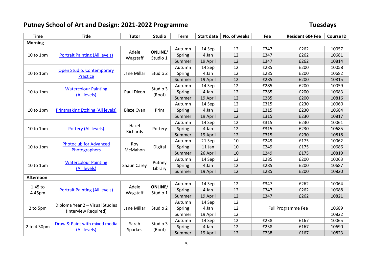# **Putney School of Art and Design: 2021-2022 Programme Tuesdays**

| <b>Time</b>    | <b>Title</b>                            | <b>Tutor</b>      | <b>Studio</b>       | <b>Term</b> | <b>Start date</b> | No. of weeks | Fee  | Resident 60+ Fee          | <b>Course ID</b> |
|----------------|-----------------------------------------|-------------------|---------------------|-------------|-------------------|--------------|------|---------------------------|------------------|
| <b>Morning</b> |                                         |                   |                     |             |                   |              |      |                           |                  |
|                |                                         |                   |                     | Autumn      | 14 Sep            | 12           | £347 | £262                      | 10057            |
| 10 to 1pm      | <b>Portrait Painting (All levels)</b>   | Adele             | ONLINE/<br>Studio 1 | Spring      | 4 Jan             | 12           | £347 | £262                      | 10681            |
|                |                                         | Wagstaff          |                     | Summer      | 19 April          | 12           | £347 | £262                      | 10814            |
|                | <b>Open Studio: Contemporary</b>        |                   |                     | Autumn      | 14 Sep            | 12           | £285 | £200                      | 10058            |
| 10 to 1pm      | <b>Practice</b>                         | Jane Millar       | Studio 2            | Spring      | 4 Jan             | 12           | £285 | £200                      | 10682            |
|                |                                         |                   |                     | Summer      | 19 April          | 12           | £285 | £200                      | 10815            |
|                | <b>Watercolour Painting</b>             |                   | Studio 3            | Autumn      | 14 Sep            | 12           | £285 | £200                      | 10059            |
| 10 to 1pm      | (All levels)                            | Paul Dixon        | (Roof)              | Spring      | 4 Jan             | 12           | £285 | £200                      | 10683            |
|                |                                         |                   |                     | Summer      | 19 April          | 12           | £285 | £200                      | 10816            |
|                |                                         |                   |                     | Autumn      | 14 Sep            | 12           | £315 | £230                      | 10060            |
| 10 to 1pm      | <b>Printmaking Etching (All levels)</b> | <b>Blaze Cyan</b> | Print               | Spring      | 4 Jan             | 12           | £315 | £230                      | 10684            |
|                |                                         |                   |                     | Summer      | 19 April          | 12           | £315 | £230                      | 10817            |
|                |                                         | Hazel             |                     | Autumn      | 14 Sep            | 12           | £315 | £230                      | 10061            |
| 10 to 1pm      | Pottery (All levels)                    | Richards          | Pottery             | Spring      | 4 Jan             | 12           | £315 | £230                      | 10685            |
|                |                                         |                   | Summer              | 19 April    | 12                | £315         | £230 | 10818                     |                  |
|                | <b>Photoclub for Advanced</b>           |                   |                     | Autumn      | 21 Sep            | 10           | £249 | £175                      | 10062            |
| 10 to 1pm      | Photographers                           | Roy<br>McMahon    | Digital             | Spring      | 11 Jan            | 10           | £249 | £175                      | 10686            |
|                |                                         |                   |                     | Summer      | 26 April          | 10           | £249 | £175                      | 10819            |
|                | <b>Watercolour Painting</b>             |                   | Putney              | Autumn      | 14 Sep            | 12           | £285 | £200                      | 10063            |
| 10 to 1pm      | (All levels)                            | Shaun Carey       | Library             | Spring      | 4 Jan             | 12           | £285 | £200                      | 10687            |
|                |                                         |                   |                     | Summer      | 19 April          | 12           | £285 | £200                      | 10820            |
| Afternoon      |                                         |                   |                     |             |                   |              |      |                           |                  |
| 1.45 to        |                                         | Adele             | ONLINE/             | Autumn      | 14 Sep            | 12           | £347 | £262                      | 10064            |
| 4.45pm         | <b>Portrait Painting (All levels)</b>   | Wagstaff          | Studio 1            | Spring      | 4 Jan             | 12           | £347 | £262                      | 10688            |
|                |                                         |                   |                     | Summer      | 19 April          | 12           | £347 | £262                      | 10821            |
|                | Diploma Year 2 - Visual Studies         |                   |                     | Autumn      | 14 Sep            | 12           |      |                           |                  |
| 2 to 5pm       | (Interview Required)                    | Jane Millar       | Studio 2            | Spring      | 4 Jan             | 12           |      | <b>Full Programme Fee</b> | 10689            |
|                |                                         |                   |                     | Summer      | 19 April          | 12           |      |                           | 10822            |
|                | Draw & Paint with mixed media           |                   |                     | Autumn      | 14 Sep            | 12           | £238 | £167                      | 10065            |
| 2 to 4.30pm    | (All levels)                            | Sarah<br>Sparkes  | Studio 3<br>(Roof)  | Spring      | 4 Jan             | 12           | £238 | £167                      | 10690            |
|                |                                         |                   |                     | Summer      | 19 April          | 12           | £238 | £167                      | 10823            |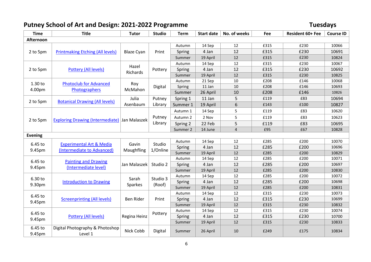# **Putney School of Art and Design: 2021-2022 Programme Tuesdays**

| <b>Time</b>       | <b>Title</b>                                  | <b>Tutor</b>      | <b>Studio</b> | <b>Term</b> | <b>Start date</b> | No. of weeks | Fee  | Resident 60+ Fee | <b>Course ID</b> |
|-------------------|-----------------------------------------------|-------------------|---------------|-------------|-------------------|--------------|------|------------------|------------------|
| Afternoon         |                                               |                   |               |             |                   |              |      |                  |                  |
|                   |                                               |                   |               | Autumn      | 14 Sep            | 12           | £315 | £230             | 10066            |
| 2 to 5pm          | <b>Printmaking Etching (All levels)</b>       | <b>Blaze Cyan</b> | Print         | Spring      | 4 Jan             | 12           | £315 | £230             | 10691            |
|                   |                                               |                   |               | Summer      | 19 April          | 12           | £315 | £230             | 10824            |
|                   |                                               |                   |               | Autumn      | 14 Sep            | 12           | £315 | £230             | 10067            |
| 2 to 5pm          | Pottery (All levels)                          | Hazel             | Pottery       | Spring      | 4 Jan             | 12           | £315 | £230             | 10692            |
|                   |                                               | Richards          |               | Summer      | 19 April          | 12           | £315 | £230             | 10825            |
| 1.30 to           | <b>Photoclub for Advanced</b>                 | Roy               |               | Autumn      | 21 Sep            | 10           | £208 | £146             | 10068            |
| 4.00pm            | Photographers                                 | McMahon           | Digital       | Spring      | 11 Jan            | 10           | £208 | £146             | 10693            |
|                   |                                               |                   |               | Summer      | 26 April          | 10           | £208 | £146             | 10826            |
| 2 to 5pm          | <b>Botanical Drawing (All levels)</b>         | Julia             | Putney        | Spring 1    | 11 Jan            | 5            | £119 | £83              | 10694            |
|                   |                                               | Asenbaum          | Library       | Summer 1    | 19 April          | 6            | £143 | £100             | 10827            |
|                   |                                               |                   |               | Autumn 1    | 14 Sep            | 5            | £119 | £83              | 10620            |
| 2 to 5pm          | Exploring Drawing (Intermediate) Jan Malaszek |                   | Putney        | Autumn 2    | 2 Nov             | 5            | £119 | £83              | 10623            |
|                   |                                               |                   | Library       | Spring 2    | 22 Feb            | 5            | £119 | £83              | 10695            |
|                   |                                               |                   |               | Summer 2    | 14 June           | 4            | £95  | £67              | 10828            |
| <b>Evening</b>    |                                               |                   |               |             |                   |              |      |                  |                  |
| 6.45 to           | <b>Experimental Art &amp; Media</b>           | Gavin             | Studio        | Autumn      | 14 Sep            | 12           | £285 | £200             | 10070            |
| 9.45pm            | (Intermediate to Advanced)                    | Maughfling        | 1/Online      | Spring      | 4 Jan             | 12           | £285 | £200             | 10696            |
|                   |                                               |                   |               | Summer      | 19 April          | 12           | £285 | £200             | 10829            |
| 6.45 to           | <b>Painting and Drawing</b>                   |                   |               | Autumn      | 14 Sep            | 12           | £285 | £200             | 10071            |
| 9.45pm            | (Intermediate level)                          | Jan Malaszek      | Studio 2      | Spring      | 4 Jan             | 12           | £285 | £200             | 10697            |
|                   |                                               |                   |               | Summer      | 19 April          | 12           | £285 | £200             | 10830            |
| 6.30 to           |                                               | Sarah             | Studio 3      | Autumn      | 14 Sep            | 12           | £285 | £200             | 10072            |
| 9.30pm            | <b>Introduction to Drawing</b>                | Sparkes           | (Roof)        | Spring      | 4 Jan             | 12           | £285 | £200             | 10698            |
|                   |                                               |                   |               | Summer      | 19 April          | 12           | £285 | £200             | 10831            |
| 6.45 to           |                                               |                   |               | Autumn      | 14 Sep            | 12           | £315 | £230             | 10073            |
| 9.45pm            | <b>Screenprinting (All levels)</b>            | <b>Ben Rider</b>  | Print         | Spring      | 4 Jan             | 12           | £315 | £230             | 10699            |
|                   |                                               |                   |               | Summer      | 19 April          | 12           | £315 | £230             | 10832            |
| 6.45 to           |                                               |                   | Pottery       | Autumn      | 14 Sep            | 12           | £315 | £230             | 10074            |
| 9.45pm            | Pottery (All levels)                          | Regina Heinz      |               | Spring      | 4 Jan             | 12           | £315 | £230             | 10700            |
|                   |                                               |                   |               | Summer      | 19 April          | 12           | £315 | £230             | 10833            |
| 6.45 to<br>9.45pm | Digital Photography & Photoshop<br>Level 1    | Nick Cobb         | Digital       | Summer      | 26 April          | 10           | £249 | £175             | 10834            |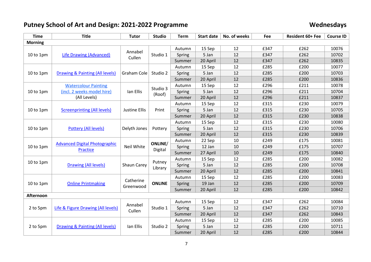# **Putney School of Art and Design: 2021-2022 Programme Wednesdays**

| <b>Time</b>    | <b>Title</b>                         | <b>Tutor</b>         | <b>Studio</b>      | <b>Term</b> | <b>Start date</b> | No. of weeks | Fee  | Resident 60+ Fee | <b>Course ID</b> |
|----------------|--------------------------------------|----------------------|--------------------|-------------|-------------------|--------------|------|------------------|------------------|
| <b>Morning</b> |                                      |                      |                    |             |                   |              |      |                  |                  |
|                |                                      |                      |                    | Autumn      | 15 Sep            | 12           | £347 | £262             | 10076            |
| 10 to 1pm      | <b>Life Drawing (Advanced)</b>       | Annabel<br>Cullen    | Studio 1           | Spring      | 5 Jan             | 12           | £347 | £262             | 10702            |
|                |                                      |                      |                    | Summer      | 20 April          | 12           | £347 | £262             | 10835            |
|                |                                      |                      |                    | Autumn      | 15 Sep            | 12           | £285 | £200             | 10077            |
| 10 to 1pm      | Drawing & Painting (All levels)      | Graham Cole          | Studio 2           | Spring      | 5 Jan             | 12           | £285 | £200             | 10703            |
|                |                                      |                      |                    | Summer      | 20 April          | 12           | £285 | £200             | 10836            |
|                | <b>Watercolour Painting</b>          |                      | Studio 3           | Autumn      | 15 Sep            | 12           | £296 | £211             | 10078            |
| 10 to 1pm      | (incl. 2 weeks model hire)           | Ian Ellis            | (Roof)             | Spring      | 5 Jan             | 12           | £296 | £211             | 10704            |
|                | (All Levels)                         |                      |                    | Summer      | 20 April          | 12           | £296 | £211             | 10837            |
|                |                                      |                      |                    | Autumn      | 15 Sep            | 12           | £315 | £230             | 10079            |
| 10 to 1pm      | <b>Screenprinting (All levels)</b>   | <b>Justine Ellis</b> | Print              | Spring      | 5 Jan             | 12           | £315 | £230             | 10705            |
|                |                                      |                      |                    | Summer      | 20 April          | 12           | £315 | £230             | 10838            |
|                |                                      |                      | Pottery            | Autumn      | 15 Sep            | 12           | £315 | £230             | 10080            |
| $10$ to $1$ pm | Pottery (All levels)                 | Delyth Jones         |                    | Spring      | 5 Jan             | 12           | £315 | £230             | 10706            |
|                |                                      |                      |                    | Summer      | 20 April          | 12           | £315 | £230             | 10839            |
|                |                                      |                      |                    | Autumn      | 22 Sep            | 10           | £249 | £175             | 10081            |
| 10 to 1pm      | <b>Advanced Digital Photographic</b> | Neil White           | ONLINE/<br>Digital | Spring      | 12 Jan            | 10           | £249 | £175             | 10707            |
|                | Practice                             |                      |                    | Summer      | 27 April          | 10           | £249 | £175             | 10840            |
|                |                                      |                      |                    | Autumn      | 15 Sep            | 12           | £285 | £200             | 10082            |
| 10 to 1pm      | <b>Drawing (All levels)</b>          | Shaun Carey          | Putney             | Spring      | 5 Jan             | 12           | £285 | £200             | 10708            |
|                |                                      |                      | Library            | Summer      | 20 April          | 12           | £285 | £200             | 10841            |
|                |                                      |                      |                    | Autumn      | 15 Sep            | 12           | £285 | £200             | 10083            |
| 10 to 1pm      | <b>Online Printmaking</b>            | Catherine            | <b>ONLINE</b>      | Spring      | 19 Jan            | 12           | £285 | £200             | 10709            |
|                |                                      | Greenwood            |                    | Summer      | 20 April          | 12           | £285 | £200             | 10842            |
| Afternoon      |                                      |                      |                    |             |                   |              |      |                  |                  |
|                |                                      | Annabel              |                    | Autumn      | 15 Sep            | 12           | £347 | £262             | 10084            |
| 2 to 5pm       | Life & Figure Drawing (All levels)   | Cullen               | Studio 1           | Spring      | 5 Jan             | 12           | £347 | £262             | 10710            |
|                |                                      |                      |                    | Summer      | 20 April          | 12           | £347 | £262             | 10843            |
|                |                                      |                      |                    | Autumn      | 15 Sep            | 12           | £285 | £200             | 10085            |
| 2 to 5pm       | Drawing & Painting (All levels)      | Ian Ellis            | Studio 2           | Spring      | 5 Jan             | 12           | £285 | £200             | 10711            |
|                |                                      |                      |                    | Summer      | 20 April          | 12           | £285 | £200             | 10844            |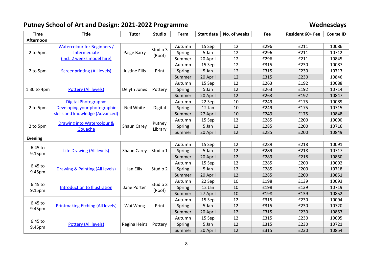# **Putney School of Art and Design: 2021-2022 Programme Wednesdays**

| <b>Time</b>       | <b>Title</b>                            | <b>Tutor</b>         | <b>Studio</b>     | <b>Term</b> | <b>Start date</b> | No. of weeks | Fee  | Resident 60+ Fee | <b>Course ID</b> |
|-------------------|-----------------------------------------|----------------------|-------------------|-------------|-------------------|--------------|------|------------------|------------------|
| Afternoon         |                                         |                      |                   |             |                   |              |      |                  |                  |
|                   | <b>Watercolour for Beginners /</b>      |                      | Studio 3          | Autumn      | 15 Sep            | 12           | £296 | £211             | 10086            |
| 2 to 5pm          | Intermediate                            | Paige Barry          | (Roof)            | Spring      | 5 Jan             | 12           | £296 | £211             | 10712            |
|                   | (incl. 2 weeks model hire)              |                      |                   | Summer      | 20 April          | 12           | £296 | £211             | 10845            |
|                   |                                         |                      |                   | Autumn      | 15 Sep            | 12           | £315 | £230             | 10087            |
| 2 to 5pm          | <b>Screenprinting (All levels)</b>      | <b>Justine Ellis</b> | Print             | Spring      | 5 Jan             | 12           | £315 | £230             | 10713            |
|                   |                                         |                      |                   | Summer      | 20 April          | 12           | £315 | £230             | 10846            |
|                   |                                         |                      |                   | Autumn      | 15 Sep            | 12           | £263 | £192             | 10088            |
| 1.30 to 4pm       | <b>Pottery (All levels)</b>             | Delyth Jones         | Pottery           | Spring      | 5 Jan             | 12           | £263 | £192             | 10714            |
|                   |                                         |                      |                   | Summer      | 20 April          | 12           | £263 | £192             | 10847            |
|                   | <b>Digital Photography:</b>             |                      |                   | Autumn      | 22 Sep            | 10           | £249 | £175             | 10089            |
| 2 to 5pm          | Developing your photographic            | Neil White           | Digital           | Spring      | 12 Jan            | 10           | £249 | £175             | 10715            |
|                   | skills and knowledge (Advanced)         |                      |                   | Summer      | 27 April          | 10           | £249 | £175             | 10848            |
|                   |                                         |                      | Putney<br>Library | Autumn      | 15 Sep            | 12           | £285 | £200             | 10090            |
| 2 to 5pm          | Drawing into Watercolour &<br>Gouache   | Shaun Carey          |                   | Spring      | 5 Jan             | 12           | £285 | £200             | 10716            |
|                   |                                         |                      |                   | Summer      | 20 April          | 12           | £285 | £200             | 10849            |
| <b>Evening</b>    |                                         |                      |                   |             |                   |              |      |                  |                  |
| 6.45 to           |                                         |                      |                   | Autumn      | 15 Sep            | 12           | £289 | £218             | 10091            |
| 9.15pm            | Life Drawing (All levels)               | Shaun Carey          | Studio 1          | Spring      | 5 Jan             | 12           | £289 | £218             | 10717            |
|                   |                                         |                      |                   | Summer      | 20 April          | 12           | £289 | £218             | 10850            |
| 6.45 to           |                                         |                      |                   | Autumn      | 15 Sep            | 12           | £285 | £200             | 10092            |
| 9.45pm            | Drawing & Painting (All levels)         | Ian Ellis            | Studio 2          | Spring      | 5 Jan             | 12           | £285 | £200             | 10718            |
|                   |                                         |                      |                   | Summer      | 20 April          | 12           | £285 | £200             | 10851            |
| 6.45 to           |                                         |                      | Studio 3          | Autumn      | 22 Sep            | 10           | £198 | £139             | 10093            |
| 9.15pm            | <b>Introduction to Illustration</b>     | Jane Porter          | (Roof)            | Spring      | 12 Jan            | 10           | £198 | £139             | 10719            |
|                   |                                         |                      |                   | Summer      | 27 April          | 10           | £198 | £139             | 10852            |
| 6.45 to           |                                         |                      |                   | Autumn      | 15 Sep            | 12           | £315 | £230             | 10094            |
|                   | <b>Printmaking Etching (All levels)</b> | Wai Wong             | Print             | Spring      | 5 Jan             | 12           | £315 | £230             | 10720            |
| 9.45pm            |                                         |                      |                   | Summer      | 20 April          | 12           | £315 | £230             | 10853            |
|                   |                                         |                      |                   | Autumn      | 15 Sep            | 12           | £315 | £230             | 10095            |
| 6.45 to<br>9.45pm | <b>Pottery (All levels)</b>             | Regina Heinz         | Pottery           | Spring      | 5 Jan             | 12           | £315 | £230             | 10721            |
|                   |                                         |                      |                   | Summer      | 20 April          | 12           | £315 | £230             | 10854            |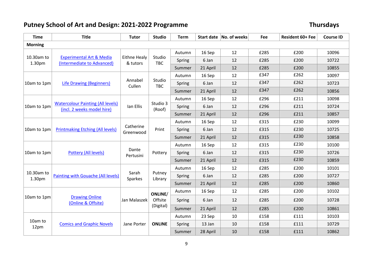# **Putney School of Art and Design: 2021-2022 Programme Thursdays**

| <b>Time</b>          | <b>Title</b>                                                           | <b>Tutor</b>             | <b>Studio</b>        | <b>Term</b> |          | Start date   No. of weeks | Fee  | Resident 60+ Fee | <b>Course ID</b> |
|----------------------|------------------------------------------------------------------------|--------------------------|----------------------|-------------|----------|---------------------------|------|------------------|------------------|
| <b>Morning</b>       |                                                                        |                          |                      |             |          |                           |      |                  |                  |
|                      |                                                                        |                          |                      | Autumn      | 16 Sep   | 12                        | £285 | £200             | 10096            |
| 10.30am to<br>1.30pm | <b>Experimental Art &amp; Media</b><br>(Intermediate to Advanced)      | Eithne Healy<br>& tutors | Studio<br><b>TBC</b> | Spring      | 6 Jan    | 12                        | £285 | £200             | 10722            |
|                      |                                                                        |                          |                      | Summer      | 21 April | 12                        | £285 | £200             | 10855            |
|                      |                                                                        |                          |                      | Autumn      | 16 Sep   | 12                        | £347 | £262             | 10097            |
| 10am to 1pm          | <b>Life Drawing (Beginners)</b>                                        | Annabel<br>Cullen        | Studio<br><b>TBC</b> | Spring      | 6 Jan    | 12                        | £347 | £262             | 10723            |
|                      |                                                                        |                          |                      | Summer      | 21 April | 12                        | £347 | £262             | 10856            |
|                      |                                                                        |                          |                      | Autumn      | 16 Sep   | 12                        | £296 | £211             | 10098            |
| 10am to 1pm          | <b>Watercolour Painting (All levels)</b><br>(incl. 2 weeks model hire) | Ian Ellis                | Studio 3<br>(Roof)   | Spring      | 6 Jan    | 12                        | £296 | £211             | 10724            |
|                      |                                                                        |                          |                      | Summer      | 21 April | 12                        | £296 | £211             | 10857            |
|                      |                                                                        |                          | Print                | Autumn      | 16 Sep   | 12                        | £315 | £230             | 10099            |
| 10am to 1pm          | <b>Printmaking Etching (All levels)</b>                                | Catherine<br>Greenwood   |                      | Spring      | 6 Jan    | 12                        | £315 | £230             | 10725            |
|                      |                                                                        |                          |                      | Summer      | 21 April | 12                        | £315 | £230             | 10858            |
|                      |                                                                        |                          | Pottery              | Autumn      | 16 Sep   | 12                        | £315 | £230             | 10100            |
| 10am to 1pm          | Pottery (All levels)                                                   | Dante<br>Pertusini       |                      | Spring      | 6 Jan    | 12                        | £315 | £230             | 10726            |
|                      |                                                                        |                          |                      | Summer      | 21 April | 12                        | £315 | £230             | 10859            |
|                      |                                                                        |                          |                      | Autumn      | 16 Sep   | 12                        | £285 | £200             | 10101            |
| 10.30am to<br>1.30pm | <b>Painting with Gouache (All levels)</b>                              | Sarah<br>Sparkes         | Putney<br>Library    | Spring      | 6 Jan    | 12                        | £285 | £200             | 10727            |
|                      |                                                                        |                          |                      | Summer      | 21 April | 12                        | £285 | £200             | 10860            |
|                      |                                                                        |                          | ONLINE/              | Autumn      | 16 Sep   | 12                        | £285 | £200             | 10102            |
| 10am to 1pm          | <b>Drawing Online</b><br>(Online & Offsite)                            | Jan Malaszek             | Offsite              | Spring      | 6 Jan    | 12                        | £285 | £200             | 10728            |
|                      |                                                                        |                          | (Digital)            | Summer      | 21 April | 12                        | £285 | £200             | 10861            |
|                      |                                                                        |                          |                      | Autumn      | 23 Sep   | 10                        | £158 | £111             | 10103            |
| 10am to<br>12pm      | <b>Comics and Graphic Novels</b>                                       | Jane Porter              | <b>ONLINE</b>        | Spring      | 13 Jan   | 10                        | £158 | £111             | 10729            |
|                      |                                                                        |                          |                      | Summer      | 28 April | 10                        | £158 | £111             | 10862            |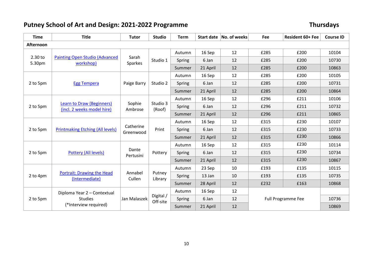# **Putney School of Art and Design: 2021-2022 Programme Thursdays**

| <b>Time</b>       | <b>Title</b>                                            | <b>Tutor</b>            | <b>Studio</b>         | <b>Term</b> |          | Start date   No. of weeks | Fee                       | Resident 60+ Fee | <b>Course ID</b> |
|-------------------|---------------------------------------------------------|-------------------------|-----------------------|-------------|----------|---------------------------|---------------------------|------------------|------------------|
| Afternoon         |                                                         |                         |                       |             |          |                           |                           |                  |                  |
|                   |                                                         |                         |                       | Autumn      | 16 Sep   | 12                        | £285                      | £200             | 10104            |
| 2.30 to<br>5.30pm | <b>Painting Open Studio (Advanced</b><br>workshop)      | Sarah<br><b>Sparkes</b> | Studio 1              | Spring      | 6 Jan    | 12                        | £285                      | £200             | 10730            |
|                   |                                                         |                         |                       | Summer      | 21 April | 12                        | £285                      | £200             | 10863            |
|                   |                                                         |                         |                       | Autumn      | 16 Sep   | 12                        | £285                      | £200             | 10105            |
| 2 to 5pm          | <b>Egg Tempera</b>                                      | Paige Barry             | Studio 2              | Spring      | 6 Jan    | 12                        | £285                      | £200             | 10731            |
|                   |                                                         |                         |                       | Summer      | 21 April | 12                        | £285                      | £200             | 10864            |
|                   |                                                         |                         |                       | Autumn      | 16 Sep   | 12                        | £296                      | £211             | 10106            |
| 2 to 5pm          | Learn to Draw (Beginners)<br>(incl. 2 weeks model hire) | Sophie<br>Ambrose       | Studio 3<br>(Roof)    | Spring      | 6 Jan    | 12                        | £296                      | £211             | 10732            |
|                   |                                                         |                         |                       | Summer      | 21 April | 12                        | £296                      | £211             | 10865            |
|                   |                                                         |                         | Print                 | Autumn      | 16 Sep   | 12                        | £315                      | £230             | 10107            |
| 2 to 5pm          | <b>Printmaking Etching (All levels)</b>                 | Catherine<br>Greenwood  |                       | Spring      | 6 Jan    | 12                        | £315                      | £230             | 10733            |
|                   |                                                         |                         |                       | Summer      | 21 April | 12                        | £315                      | £230             | 10866            |
|                   |                                                         |                         |                       | Autumn      | 16 Sep   | 12                        | £315                      | £230             | 10114            |
| 2 to 5pm          | Pottery (All levels)                                    | Dante<br>Pertusini      | Pottery               | Spring      | 6 Jan    | 12                        | £315                      | £230             | 10734            |
|                   |                                                         |                         |                       | Summer      | 21 April | 12                        | £315                      | £230             | 10867            |
|                   |                                                         |                         |                       | Autumn      | 23 Sep   | 10                        | £193                      | £135             | 10115            |
| 2 to 4pm          | <b>Portrait: Drawing the Head</b>                       | Annabel                 | Putney<br>Library     | Spring      | 13 Jan   | 10                        | £193                      | £135             | 10735            |
|                   | (Intermediate)<br>Cullen                                |                         |                       | Summer      | 28 April | 12                        | £232                      | £163             | 10868            |
|                   | Diploma Year 2 - Contextual                             |                         |                       | Autumn      | 16 Sep   | 12                        |                           |                  |                  |
| 2 to 5pm          | <b>Studies</b>                                          | Jan Malaszek            | Digital /<br>Off-site | Spring      | 6 Jan    | 12                        | <b>Full Programme Fee</b> |                  | 10736            |
|                   | (*Interview required)                                   |                         |                       | Summer      | 21 April | 12                        |                           |                  | 10869            |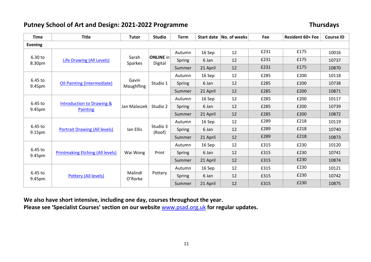#### **Putney School of Art and Design: 2021-2022 Programme Thursdays**

| <b>Time</b>       | <b>Title</b>                                            | <b>Tutor</b>            | <b>Studio</b>               | <b>Term</b> |          | Start date No. of weeks | <b>Fee</b> | <b>Resident 60+ Fee</b> | <b>Course ID</b> |
|-------------------|---------------------------------------------------------|-------------------------|-----------------------------|-------------|----------|-------------------------|------------|-------------------------|------------------|
| <b>Evening</b>    |                                                         |                         |                             |             |          |                         |            |                         |                  |
|                   |                                                         |                         |                             | Autumn      | 16 Sep   | 12                      | £231       | £175                    | 10016            |
| 6.30 to<br>8.30pm | <b>Life Drawing (All Levels)</b>                        | Sarah<br><b>Sparkes</b> | <b>ONLINE</b> in<br>Digital | Spring      | 6 Jan    | 12                      | £231       | £175                    | 10737            |
|                   |                                                         |                         |                             | Summer      | 21 April | 12                      | £231       | £175                    | 10870            |
|                   |                                                         |                         |                             | Autumn      | 16 Sep   | 12                      | £285       | £200                    | 10118            |
| 6.45 to<br>9.45pm | <b>Oil Painting (Intermediate)</b>                      | Gavin<br>Maughfling     | Studio 1                    | Spring      | 6 Jan    | 12                      | £285       | £200                    | 10738            |
|                   |                                                         |                         |                             | Summer      | 21 April | 12                      | £285       | £200                    | 10871            |
|                   |                                                         | Jan Malaszek            |                             | Autumn      | 16 Sep   | 12                      | £285       | £200                    | 10117            |
| 6.45 to<br>9.45pm | <b>Introduction to Drawing &amp;</b><br><b>Painting</b> |                         | Studio 2                    | Spring      | 6 Jan    | 12                      | £285       | £200                    | 10739            |
|                   |                                                         |                         |                             | Summer      | 21 April | 12                      | £285       | £200                    | 10872            |
|                   |                                                         |                         | Studio 3<br>(Roof)          | Autumn      | 16 Sep   | 12                      | £289       | £218                    | 10119            |
| 6.45 to<br>9.15pm | <b>Portrait Drawing (All levels)</b>                    | lan Ellis               |                             | Spring      | 6 Jan    | 12                      | £289       | £218                    | 10740            |
|                   |                                                         |                         |                             | Summer      | 21 April | 12                      | £289       | £218                    | 10873            |
|                   |                                                         |                         |                             | Autumn      | 16 Sep   | 12                      | £315       | £230                    | 10120            |
| 6.45 to<br>9.45pm | <b>Printmaking Etching (All levels)</b>                 | Wai Wong                | Print                       | Spring      | 6 Jan    | 12                      | £315       | £230                    | 10741            |
|                   |                                                         |                         |                             | Summer      | 21 April | 12                      | £315       | £230                    | 10874            |
|                   |                                                         |                         |                             | Autumn      | 16 Sep   | 12                      | £315       | £230                    | 10121            |
| 6.45 to           | Pottery (All levels)                                    | Malindi<br>O'Rorke      | Pottery                     | Spring      | 6 Jan    | 12                      | £315       | £230                    | 10742            |
| 9.45pm            |                                                         |                         |                             | Summer      | 21 April | 12                      | £315       | £230                    | 10875            |

**We also have short intensive, including one day, courses throughout the year.** 

**Please see 'Specialist Courses' section on our website** [www.psad.org.uk](http://www.psad.org.uk/) **for regular updates.**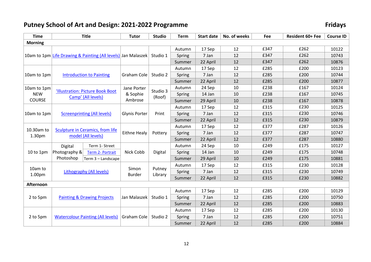# **Putney School of Art and Design: 2021-2022 Programme**

| Fridays |  |
|---------|--|
|---------|--|

| <b>Time</b>        |                                                                                | <b>Title</b>                           | <b>Tutor</b>            | <b>Studio</b>     | <b>Term</b> | <b>Start date</b> | No. of weeks | Fee  | Resident 60+ Fee | <b>Course ID</b> |
|--------------------|--------------------------------------------------------------------------------|----------------------------------------|-------------------------|-------------------|-------------|-------------------|--------------|------|------------------|------------------|
| <b>Morning</b>     |                                                                                |                                        |                         |                   |             |                   |              |      |                  |                  |
|                    | 10am to 1pm Life Drawing & Painting (All levels) Jan Malaszek                  |                                        |                         | Studio 1          | Autumn      | 17 Sep            | 12           | £347 | £262             | 10122            |
|                    |                                                                                |                                        |                         |                   | Spring      | 7 Jan             | 12           | £347 | £262             | 10743            |
|                    |                                                                                |                                        |                         |                   | Summer      | 22 April          | 12           | £347 | £262             | 10876            |
|                    | <b>Introduction to Painting</b>                                                |                                        | Graham Cole             | Studio 2          | Autumn      | 17 Sep            | 12           | £285 | £200             | 10123            |
| 10am to 1pm        |                                                                                |                                        |                         |                   | Spring      | 7 Jan             | 12           | £285 | £200             | 10744            |
|                    |                                                                                |                                        |                         |                   | Summer      | 22 April          | 12           | £285 | £200             | 10877            |
| 10am to 1pm        |                                                                                |                                        | Jane Porter<br>& Sophie | Studio 3          | Autumn      | 24 Sep            | 10           | £238 | £167             | 10124            |
| <b>NEW</b>         |                                                                                | 'Illustration: Picture Book Boot       |                         |                   | Spring      | 14 Jan            | 10           | £238 | £167             | 10745            |
| COURSE             | Camp' (All levels)                                                             |                                        | Ambrose                 | (Roof)            | Summer      | 29 April          | 10           | £238 | £167             | 10878            |
|                    | <b>Screenprinting (All levels)</b>                                             |                                        | <b>Glynis Porter</b>    | Print             | Autumn      | 17 Sep            | 12           | £315 | £230             | 10125            |
| 10am to 1pm        |                                                                                |                                        |                         |                   | Spring      | 7 Jan             | 12           | £315 | £230             | 10746            |
|                    |                                                                                |                                        |                         |                   | Summer      | 22 April          | 12           | £315 | £230             | 10879            |
|                    | Sculpture in Ceramics, from life<br>10.30am to<br>model (All levels)<br>1.30pm |                                        | Eithne Healy            | Pottery           | Autumn      | 17 Sep            | 12           | £377 | £287             | 10126            |
|                    |                                                                                |                                        |                         |                   | Spring      | 7 Jan             | 12           | £377 | £287             | 10747            |
|                    |                                                                                |                                        |                         |                   | Summer      | 22 April          | 12           | £377 | £287             | 10880            |
|                    | Digital                                                                        | Term 1- Street                         |                         |                   | Autumn      | 24 Sep            | 10           | £249 | £175             | 10127            |
| 10 to 1pm          | Photography &                                                                  | Term 2- Portrait<br>Term 3 - Landscape | Nick Cobb               | Digital           | Spring      | 14 Jan            | 10           | £249 | £175             | 10748            |
|                    | Photoshop                                                                      |                                        |                         |                   | Summer      | 29 April          | 10           | £249 | £175             | 10881            |
|                    | Lithography (All levels)                                                       |                                        | Simon<br><b>Burder</b>  | Putney<br>Library | Autumn      | 17 Sep            | 12           | £315 | £230             | 10128            |
| 10am to            |                                                                                |                                        |                         |                   | Spring      | 7 Jan             | 12           | £315 | £230             | 10749            |
| 1.00 <sub>pm</sub> |                                                                                |                                        |                         |                   | Summer      | 22 April          | 12           | £315 | £230             | 10882            |
| <b>Afternoon</b>   |                                                                                |                                        |                         |                   |             |                   |              |      |                  |                  |
|                    | <b>Painting &amp; Drawing Projects</b>                                         |                                        | Jan Malaszek            | Studio 1          | Autumn      | 17 Sep            | 12           | £285 | £200             | 10129            |
| 2 to 5pm           |                                                                                |                                        |                         |                   | Spring      | 7 Jan             | 12           | £285 | £200             | 10750            |
|                    |                                                                                |                                        |                         |                   | Summer      | 22 April          | 12           | £285 | £200             | 10883            |
| 2 to 5pm           | <b>Watercolour Painting (All levels)</b>                                       |                                        | Graham Cole             | Studio 2          | Autumn      | 17 Sep            | 12           | £285 | £200             | 10130            |
|                    |                                                                                |                                        |                         |                   | Spring      | 7 Jan             | 12           | £285 | £200             | 10751            |
|                    |                                                                                |                                        |                         |                   | Summer      | 22 April          | 12           | £285 | £200             | 10884            |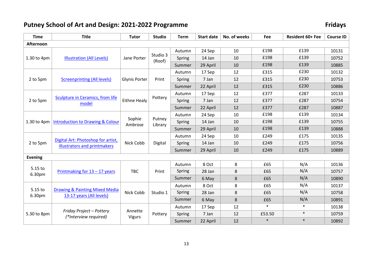# **Putney School of Art and Design: 2021-2022 Programme**

| <b>Fridays</b> |  |  |  |
|----------------|--|--|--|
|                |  |  |  |

| <b>Time</b>       | <b>Title</b>                                                       | <b>Tutor</b>             | <b>Studio</b>      | <b>Term</b> | <b>Start date</b> | No. of weeks | Fee    | Resident 60+ Fee | <b>Course ID</b> |
|-------------------|--------------------------------------------------------------------|--------------------------|--------------------|-------------|-------------------|--------------|--------|------------------|------------------|
| Afternoon         |                                                                    |                          |                    |             |                   |              |        |                  |                  |
| 1.30 to 4pm       | <b>Illustration (All Levels)</b>                                   | Jane Porter              | Studio 3<br>(Roof) | Autumn      | 24 Sep            | 10           | £198   | £139             | 10131            |
|                   |                                                                    |                          |                    | Spring      | 14 Jan            | 10           | £198   | £139             | 10752            |
|                   |                                                                    |                          |                    | Summer      | 29 April          | 10           | £198   | £139             | 10885            |
|                   | <b>Screenprinting (All levels)</b>                                 | <b>Glynis Porter</b>     | Print              | Autumn      | 17 Sep            | 12           | £315   | £230             | 10132            |
| 2 to 5pm          |                                                                    |                          |                    | Spring      | 7 Jan             | 12           | £315   | £230             | 10753            |
|                   |                                                                    |                          |                    | Summer      | 22 April          | 12           | £315   | £230             | 10886            |
|                   |                                                                    | <b>Eithne Healy</b>      | Pottery            | Autumn      | 17 Sep            | 12           | £377   | £287             | 10133            |
| 2 to 5pm          | Sculpture in Ceramics, from life<br>model                          |                          |                    | Spring      | 7 Jan             | 12           | £377   | £287             | 10754            |
|                   |                                                                    |                          |                    | Summer      | 22 April          | 12           | £377   | £287             | 10887            |
|                   | <b>Introduction to Drawing &amp; Colour</b>                        |                          | Putney<br>Library  | Autumn      | 24 Sep            | 10           | £198   | £139             | 10134            |
| 1.30 to 4pm       |                                                                    | Sophie<br>Ambrose        |                    | Spring      | 14 Jan            | 10           | £198   | £139             | 10755            |
|                   |                                                                    |                          |                    | Summer      | 29 April          | 10           | £198   | £139             | 10888            |
|                   | Digital Art: Photoshop for artist,<br>illustrators and printmakers | Nick Cobb                | Digital            | Autumn      | 24 Sep            | 10           | £249   | £175             | 10135            |
| 2 to 5pm          |                                                                    |                          |                    | Spring      | 14 Jan            | 10           | £249   | £175             | 10756            |
|                   |                                                                    |                          |                    | Summer      | 29 April          | 10           | £249   | £175             | 10889            |
| <b>Evening</b>    |                                                                    |                          |                    |             |                   |              |        |                  |                  |
|                   | Printmaking for $13 - 17$ years                                    | <b>TBC</b>               | Print              | Autumn      | 8 Oct             | 8            | £65    | N/A              | 10136            |
| 5.15 to<br>6.30pm |                                                                    |                          |                    | Spring      | 28 Jan            | 8            | £65    | N/A              | 10757            |
|                   |                                                                    |                          |                    | Summer      | 6 May             | 8            | £65    | N/A              | 10890            |
|                   | Drawing & Painting Mixed Media<br>13-17 years (All levels)         | Nick Cobb                | Studio 1           | Autumn      | 8 Oct             | 8            | £65    | N/A              | 10137            |
| 5.15 to<br>6.30pm |                                                                    |                          |                    | Spring      | 28 Jan            | 8            | £65    | N/A              | 10758            |
|                   |                                                                    |                          |                    | Summer      | 6 May             | 8            | £65    | N/A              | 10891            |
| 5.30 to 8pm       | Friday Project - Pottery<br>(*Interview required)                  | Annette<br><b>Vigurs</b> | Pottery            | Autumn      | 17 Sep            | 12           | $\ast$ | $\ast$           | 10138            |
|                   |                                                                    |                          |                    | Spring      | 7 Jan             | 12           | £53.50 | $\ast$           | 10759            |
|                   |                                                                    |                          |                    | Summer      | 22 April          | 12           | $\ast$ | $\ast$           | 10892            |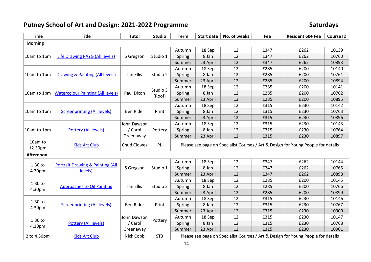# Putney School of Art and Design: 2021-2022 Programme **Saturdays** Saturdays

| <b>Time</b>        | <b>Title</b>                                           | <b>Tutor</b>                        | <b>Studio</b>      | <b>Term</b>                                                                       | <b>Start date</b> | No. of weeks | Fee  | Resident 60+ Fee | <b>Course ID</b> |  |
|--------------------|--------------------------------------------------------|-------------------------------------|--------------------|-----------------------------------------------------------------------------------|-------------------|--------------|------|------------------|------------------|--|
| <b>Morning</b>     |                                                        |                                     |                    |                                                                                   |                   |              |      |                  |                  |  |
| 10am to 1pm        | <b>Life Drawing PAYG (All levels)</b>                  | S Gregson                           | Studio 1           | Autumn                                                                            | 18 Sep            | 12           | £347 | £262             | 10139            |  |
|                    |                                                        |                                     |                    | Spring                                                                            | 8 Jan             | 12           | £347 | £262             | 10760            |  |
|                    |                                                        |                                     |                    | Summer                                                                            | 23 April          | 12           | £347 | £262             | 10893            |  |
|                    |                                                        | Ian Ellis                           | Studio 2           | Autumn                                                                            | 18 Sep            | 12           | £285 | £200             | 10140            |  |
| 10am to 1pm        | Drawing & Painting (All levels)                        |                                     |                    | Spring                                                                            | 8 Jan             | 12           | £285 | £200             | 10761            |  |
|                    |                                                        |                                     |                    | Summer                                                                            | 23 April          | 12           | £285 | £200             | 10894            |  |
|                    |                                                        |                                     | Studio 3<br>(Roof) | Autumn                                                                            | 18 Sep            | 12           | £285 | £200             | 10141            |  |
| 10am to 1pm        | <b>Watercolour Painting (All levels)</b>               | Paul Dixon                          |                    | Spring                                                                            | 8 Jan             | 12           | £285 | £200             | 10762            |  |
|                    |                                                        |                                     |                    | Summer                                                                            | 23 April          | 12           | £285 | £200             | 10895            |  |
|                    | <b>Screenprinting (All levels)</b>                     |                                     | Print              | Autumn                                                                            | 18 Sep            | 12           | £315 | £230             | 10142            |  |
| 10am to 1pm        |                                                        | Ben Rider                           |                    | Spring                                                                            | 8 Jan             | 12           | £315 | £230             | 10763            |  |
|                    |                                                        |                                     |                    | Summer                                                                            | 23 April          | 12           | £315 | £230             | 10896            |  |
| 10am to 1pm        | <b>Pottery (All levels)</b>                            | John Dawson                         |                    | Autumn                                                                            | 18 Sep            | 12           | £315 | £230             | 10143            |  |
|                    |                                                        | / Carol                             | Pottery            | Spring                                                                            | 8 Jan             | 12           | £315 | £230             | 10764            |  |
|                    |                                                        | Greenaway                           |                    | Summer                                                                            | 23 April          | 12           | £315 | £230             | 10897            |  |
| 10am to<br>12.30pm | <b>Kids Art Club</b><br>Chud Clowes<br>PL              |                                     |                    | Please see page on Specialist Courses / Art & Design for Young People for details |                   |              |      |                  |                  |  |
| <b>Afternoon</b>   |                                                        |                                     |                    |                                                                                   |                   |              |      |                  |                  |  |
|                    |                                                        |                                     |                    | Autumn                                                                            | 18 Sep            | 12           | £347 | £262             | 10144            |  |
| 1.30 to            | <b>Portrait Drawing &amp; Painting (All</b><br>levels) | S Gregson                           | Studio 1           | Spring                                                                            | 8 Jan             | 12           | £347 | £262             | 10765            |  |
| 4.30pm             |                                                        |                                     |                    | Summer                                                                            | 23 April          | 12           | £347 | £262             | 10898            |  |
|                    | <b>Approaches to Oil Painting</b>                      | Ian Ellis                           | Studio 2           | Autumn                                                                            | 18 Sep            | 12           | £285 | £200             | 10145            |  |
| 1.30 to            |                                                        |                                     |                    | Spring                                                                            | 8 Jan             | 12           | £285 | £200             | 10766            |  |
| 4.30pm             |                                                        |                                     |                    | Summer                                                                            | 23 April          | 12           | £285 | £200             | 10899            |  |
|                    | <b>Screenprinting (All levels)</b>                     | Ben Rider                           | Print              | Autumn                                                                            | 18 Sep            | 12           | £315 | £230             | 10146            |  |
| 1.30 to<br>4.30pm  |                                                        |                                     |                    | Spring                                                                            | 8 Jan             | 12           | £315 | £230             | 10767            |  |
|                    |                                                        |                                     |                    | Summer                                                                            | 23 April          | 12           | £315 | £230             | 10900            |  |
| 1.30 to<br>4.30pm  | Pottery (All levels)                                   | John Dawson<br>/ Carol<br>Greenaway | Pottery            | Autumn                                                                            | 18 Sep            | 12           | £315 | £230             | 10147            |  |
|                    |                                                        |                                     |                    | Spring                                                                            | 8 Jan             | 12           | £315 | £230             | 10768            |  |
|                    |                                                        |                                     |                    | Summer                                                                            | 23 April          | 12           | £315 | £230             | 10901            |  |
| 2 to 4.30pm        | <b>Kids Art Club</b>                                   | Nick Cobb                           | ST <sub>3</sub>    | Please see page on Specialist Courses / Art & Design for Young People for details |                   |              |      |                  |                  |  |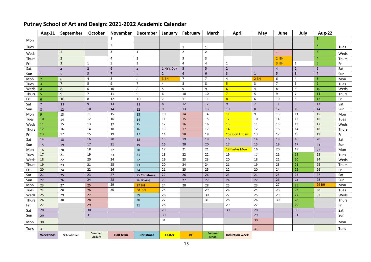#### **Aug-21 September October November December January February March April May June July Aug-22** Mon <sup>1</sup> <sup>1</sup> Tues  $\begin{vmatrix} 2 \end{vmatrix}$ 1 1 2 Weds <sup>1</sup> <sup>3</sup> <sup>1</sup> <sup>2</sup> <sup>2</sup> <sup>1</sup> <sup>3</sup> Weds Thurs 2 4 2 3 3 3 2 <mark>2 BH 4 T</mark>hurs Fri 3 1 5 3 3 4 4 1 <mark>3 BH 1 5 Fr</mark>i Sat 4 2 6 4 1 NY's Day 5 5 2 4 4 2 6 Sat Sun 1 5 3 7 5 2 6 6 3 1 5 3 7 Sun Mon 2 8 6 <mark>3 BH </mark> 7 1 *7* | 4 <mark> 2 BH |</mark> 6 | 4 | 8 | Mon Tues 3 7 5 9 7 4 8 8 <mark>5 3</mark> 7 5 9 Tues Weds <mark>4 8 6 10 8 5 9 9 6 8</mark> 8 6 10 Weds Thurs 5 9 7 11 11 9 6 10 10 <mark>7 8 9</mark> 5 9 7 11 Thurs Fri 6 10 8 12 10 7 11 11 <mark>8 6</mark> 10 8 12 Fri Sat | 7 | 11 | 9 | 13 | 11 | 8 | 12 | 12 | 9 | 17 | 11 | 9 | 13 | Sat Sun 8 | 12 | 10 | 14 | 12 | 9 | 13 | 13 | 10 | 8 | 12 | 10 | 14 | Sun Mon <mark>9 13 11 15 15 13 10 14 14 11 9</mark> 13 11 15 Mon Tues 10 | 14 | 12 | 16 | 14 | 11 | 15 | 15 | 12 | 10 | 14 | 12 | 16 | Tues Weds 11 15 13 13 17 15 12 16 16 13 11 15 13 17 Weds Thurs 12 16 14 18 16 13 17 17 <mark>14 12</mark> 16 14 18 Thurs Fri 13 17 15 19 19 17 14 18 18 <mark>15 Good Friday</mark> 13 17 15 <mark>19</mark> Fri Sat 14 | 18 | 16 | 20 | 18 | 15 | 19 | 19 | 16 | 14 | 18 | 16 | 20 | Sat Sun | 15 | 19 | 17 | 17 | 21 | 19 | 16 | 20 | 20 | 17 | 15 | 19 | 17 | 21 | Sun Mon 16 20 18 22 20 20 17 21 21 <mark>18 Easter Mon 16 20 18 22 Mon</mark> Tues 17 21 19 23 21 18 22 22 19 17 21 19 23 Tues Weds 18 22 20 24 22 19 23 23 20 18 22 20 24 Weds Thurs 19 23 21 21 25 23 20 24 24 21 19 23 21 25 Thurs Fri <mark>20</mark> 24 22 26 26 24 21 25 25 22 20 24 22 26 Fri Sat 21 25 23 27 25 25 26 26 26 26 26 27 26 26 27 26 27 26 27 Sat Sun 22 26 24 28 26 26 26 26 27 27 27 24 22 26 24 28 Sun Моn <mark>23 | 27 | 25 | <sup>29</sup> | 27 BH | 24 | 28 | 28 | 25 | 23 | 27 | 25 | 29 BH | Mon</mark> Tues 24 | 28 | 26 | 30 | 28 BH | 25 | | | | 29 | | 26 | | 24 | | 28 | | 26 | | 30 | | | Tues Weds 25 29 27 27 29 29 26 30 27 25 29 27 31 Weds Thurs 26 30 28 | 30 30 27 | 31 28 26 30 28 | Thurs Fri <mark>27</mark> | 29 | 31 | 28 | 29 | 29 | 27 | 29 | 29 | Fri Sat 28 | 30 | 30 | 29 | 30 | 30 | 30 | 30 | 30 Sun 29 31 30 29 31 Sun Mon <sup>30</sup> <sup>31</sup> <sup>30</sup> Mon Tues 31 31 Tues

**Tues**

#### **Putney School of Art and Design: 2021-2022 Academic Calendar**

**Weekends School Open Summer Closure** 

**School Induction week**

**Closure Half term Christmas Easter BH Summer**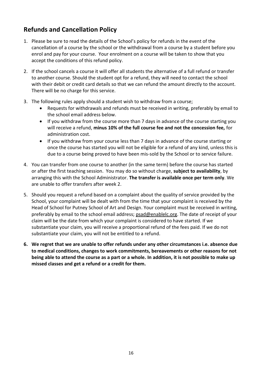#### **Refunds and Cancellation Policy**

- 1. Please be sure to read the details of the School's policy for refunds in the event of the cancellation of a course by the school or the withdrawal from a course by a student before you enrol and pay for your course. Your enrolment on a course will be taken to show that you accept the conditions of this refund policy.
- 2. If the school cancels a course it will offer all students the alternative of a full refund or transfer to another course. Should the student opt for a refund, they will need to contact the school with their debit or credit card details so that we can refund the amount directly to the account. There will be no charge for this service.
- 3. The following rules apply should a student wish to withdraw from a course;
	- Requests for withdrawals and refunds must be received in writing, preferably by email to the school email address below.
	- If you withdraw from the course more than 7 days in advance of the course starting you will receive a refund, **minus 10% of the full course fee and not the concession fee,** for administration cost.
	- If you withdraw from your course less than 7 days in advance of the course starting or once the course has started you will not be eligible for a refund of any kind, unless this is due to a course being proved to have been mis-sold by the School or to service failure.
- 4. You can transfer from one course to another (in the same term) before the course has started or after the first teaching session. You may do so without charge, **subject to availability**, by arranging this with the School Administrator. **The transfer is available once per term only**. We are unable to offer transfers after week 2.
- 5. Should you request a refund based on a complaint about the quality of service provided by the School, your complaint will be dealt with from the time that your complaint is received by the Head of School for Putney School of Art and Design. Your complaint must be received in writing, preferably by email to the school email address; [psad@enablelc.org.](mailto:psad@enablelc.org) The date of receipt of your claim will be the date from which your complaint is considered to have started. If we substantiate your claim, you will receive a proportional refund of the fees paid. If we do not substantiate your claim, you will not be entitled to a refund.
- **6. We regret that we are unable to offer refunds under any other circumstances i.e. absence due to medical conditions, changes to work commitments, bereavements or other reasons for not being able to attend the course as a part or a whole. In addition, it is not possible to make up missed classes and get a refund or a credit for them.**